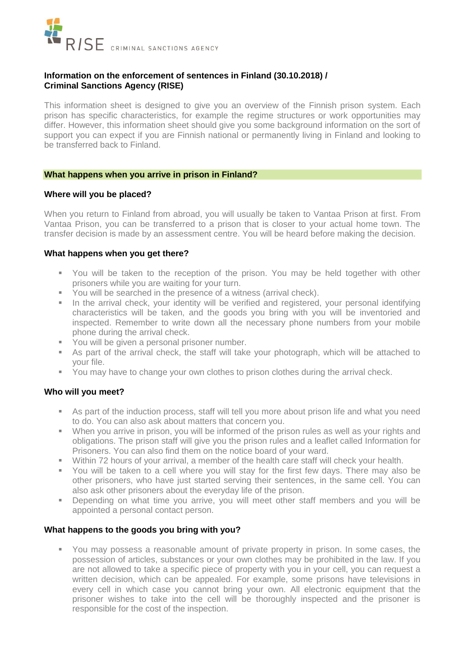

# **Information on the enforcement of sentences in Finland (30.10.2018) / Criminal Sanctions Agency (RISE)**

This information sheet is designed to give you an overview of the Finnish prison system. Each prison has specific characteristics, for example the regime structures or work opportunities may differ. However, this information sheet should give you some background information on the sort of support you can expect if you are Finnish national or permanently living in Finland and looking to be transferred back to Finland.

### **What happens when you arrive in prison in Finland?**

# **Where will you be placed?**

When you return to Finland from abroad, you will usually be taken to Vantaa Prison at first. From Vantaa Prison, you can be transferred to a prison that is closer to your actual home town. The transfer decision is made by an assessment centre. You will be heard before making the decision.

# **What happens when you get there?**

- You will be taken to the reception of the prison. You may be held together with other prisoners while you are waiting for your turn.
- **You will be searched in the presence of a witness (arrival check).**
- In the arrival check, your identity will be verified and registered, your personal identifying characteristics will be taken, and the goods you bring with you will be inventoried and inspected. Remember to write down all the necessary phone numbers from your mobile phone during the arrival check.
- You will be given a personal prisoner number.
- As part of the arrival check, the staff will take your photograph, which will be attached to your file.
- You may have to change your own clothes to prison clothes during the arrival check.

# **Who will you meet?**

- As part of the induction process, staff will tell you more about prison life and what you need to do. You can also ask about matters that concern you.
- When you arrive in prison, you will be informed of the prison rules as well as your rights and obligations. The prison staff will give you the prison rules and a leaflet called Information for Prisoners. You can also find them on the notice board of your ward.
- Within 72 hours of your arrival, a member of the health care staff will check your health.
- You will be taken to a cell where you will stay for the first few days. There may also be other prisoners, who have just started serving their sentences, in the same cell. You can also ask other prisoners about the everyday life of the prison.
- Depending on what time you arrive, you will meet other staff members and you will be appointed a personal contact person.

# **What happens to the goods you bring with you?**

 You may possess a reasonable amount of private property in prison. In some cases, the possession of articles, substances or your own clothes may be prohibited in the law. If you are not allowed to take a specific piece of property with you in your cell, you can request a written decision, which can be appealed. For example, some prisons have televisions in every cell in which case you cannot bring your own. All electronic equipment that the prisoner wishes to take into the cell will be thoroughly inspected and the prisoner is responsible for the cost of the inspection.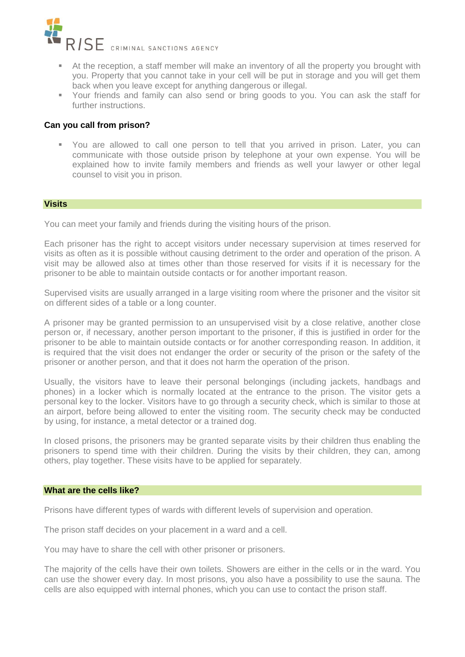

- At the reception, a staff member will make an inventory of all the property you brought with you. Property that you cannot take in your cell will be put in storage and you will get them back when you leave except for anything dangerous or illegal.
- Your friends and family can also send or bring goods to you. You can ask the staff for further instructions.

# **Can you call from prison?**

 You are allowed to call one person to tell that you arrived in prison. Later, you can communicate with those outside prison by telephone at your own expense. You will be explained how to invite family members and friends as well your lawyer or other legal counsel to visit you in prison.

### **Visits**

You can meet your family and friends during the visiting hours of the prison.

Each prisoner has the right to accept visitors under necessary supervision at times reserved for visits as often as it is possible without causing detriment to the order and operation of the prison. A visit may be allowed also at times other than those reserved for visits if it is necessary for the prisoner to be able to maintain outside contacts or for another important reason.

Supervised visits are usually arranged in a large visiting room where the prisoner and the visitor sit on different sides of a table or a long counter.

A prisoner may be granted permission to an unsupervised visit by a close relative, another close person or, if necessary, another person important to the prisoner, if this is justified in order for the prisoner to be able to maintain outside contacts or for another corresponding reason. In addition, it is required that the visit does not endanger the order or security of the prison or the safety of the prisoner or another person, and that it does not harm the operation of the prison.

Usually, the visitors have to leave their personal belongings (including jackets, handbags and phones) in a locker which is normally located at the entrance to the prison. The visitor gets a personal key to the locker. Visitors have to go through a security check, which is similar to those at an airport, before being allowed to enter the visiting room. The security check may be conducted by using, for instance, a metal detector or a trained dog.

In closed prisons, the prisoners may be granted separate visits by their children thus enabling the prisoners to spend time with their children. During the visits by their children, they can, among others, play together. These visits have to be applied for separately.

### **What are the cells like?**

Prisons have different types of wards with different levels of supervision and operation.

The prison staff decides on your placement in a ward and a cell.

You may have to share the cell with other prisoner or prisoners.

The majority of the cells have their own toilets. Showers are either in the cells or in the ward. You can use the shower every day. In most prisons, you also have a possibility to use the sauna. The cells are also equipped with internal phones, which you can use to contact the prison staff.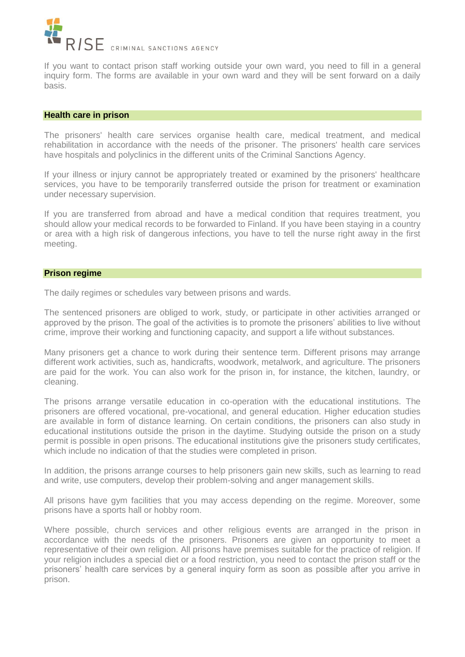

If you want to contact prison staff working outside your own ward, you need to fill in a general inquiry form. The forms are available in your own ward and they will be sent forward on a daily basis.

#### **Health care in prison**

The prisoners' health care services organise health care, medical treatment, and medical rehabilitation in accordance with the needs of the prisoner. The prisoners' health care services have hospitals and polyclinics in the different units of the Criminal Sanctions Agency.

If your illness or injury cannot be appropriately treated or examined by the prisoners' healthcare services, you have to be temporarily transferred outside the prison for treatment or examination under necessary supervision.

If you are transferred from abroad and have a medical condition that requires treatment, you should allow your medical records to be forwarded to Finland. If you have been staying in a country or area with a high risk of dangerous infections, you have to tell the nurse right away in the first meeting.

### **Prison regime**

The daily regimes or schedules vary between prisons and wards.

The sentenced prisoners are obliged to work, study, or participate in other activities arranged or approved by the prison. The goal of the activities is to promote the prisoners' abilities to live without crime, improve their working and functioning capacity, and support a life without substances.

Many prisoners get a chance to work during their sentence term. Different prisons may arrange different work activities, such as, handicrafts, woodwork, metalwork, and agriculture. The prisoners are paid for the work. You can also work for the prison in, for instance, the kitchen, laundry, or cleaning.

The prisons arrange versatile education in co-operation with the educational institutions. The prisoners are offered vocational, pre-vocational, and general education. Higher education studies are available in form of distance learning. On certain conditions, the prisoners can also study in educational institutions outside the prison in the daytime. Studying outside the prison on a study permit is possible in open prisons. The educational institutions give the prisoners study certificates, which include no indication of that the studies were completed in prison.

In addition, the prisons arrange courses to help prisoners gain new skills, such as learning to read and write, use computers, develop their problem-solving and anger management skills.

All prisons have gym facilities that you may access depending on the regime. Moreover, some prisons have a sports hall or hobby room.

Where possible, church services and other religious events are arranged in the prison in accordance with the needs of the prisoners. Prisoners are given an opportunity to meet a representative of their own religion. All prisons have premises suitable for the practice of religion. If your religion includes a special diet or a food restriction, you need to contact the prison staff or the prisoners' health care services by a general inquiry form as soon as possible after you arrive in prison.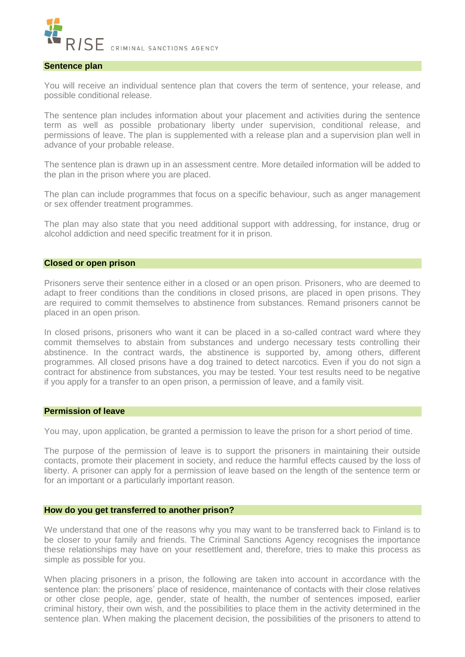

### **Sentence plan**

You will receive an individual sentence plan that covers the term of sentence, your release, and possible conditional release.

The sentence plan includes information about your placement and activities during the sentence term as well as possible probationary liberty under supervision, conditional release, and permissions of leave. The plan is supplemented with a release plan and a supervision plan well in advance of your probable release.

The sentence plan is drawn up in an assessment centre. More detailed information will be added to the plan in the prison where you are placed.

The plan can include programmes that focus on a specific behaviour, such as anger management or sex offender treatment programmes.

The plan may also state that you need additional support with addressing, for instance, drug or alcohol addiction and need specific treatment for it in prison.

### **Closed or open prison**

Prisoners serve their sentence either in a closed or an open prison. Prisoners, who are deemed to adapt to freer conditions than the conditions in closed prisons, are placed in open prisons. They are required to commit themselves to abstinence from substances. Remand prisoners cannot be placed in an open prison.

In closed prisons, prisoners who want it can be placed in a so-called contract ward where they commit themselves to abstain from substances and undergo necessary tests controlling their abstinence. In the contract wards, the abstinence is supported by, among others, different programmes. All closed prisons have a dog trained to detect narcotics. Even if you do not sign a contract for abstinence from substances, you may be tested. Your test results need to be negative if you apply for a transfer to an open prison, a permission of leave, and a family visit.

# **Permission of leave**

You may, upon application, be granted a permission to leave the prison for a short period of time.

The purpose of the permission of leave is to support the prisoners in maintaining their outside contacts, promote their placement in society, and reduce the harmful effects caused by the loss of liberty. A prisoner can apply for a permission of leave based on the length of the sentence term or for an important or a particularly important reason.

### **How do you get transferred to another prison?**

We understand that one of the reasons why you may want to be transferred back to Finland is to be closer to your family and friends. The Criminal Sanctions Agency recognises the importance these relationships may have on your resettlement and, therefore, tries to make this process as simple as possible for you.

When placing prisoners in a prison, the following are taken into account in accordance with the sentence plan: the prisoners' place of residence, maintenance of contacts with their close relatives or other close people, age, gender, state of health, the number of sentences imposed, earlier criminal history, their own wish, and the possibilities to place them in the activity determined in the sentence plan. When making the placement decision, the possibilities of the prisoners to attend to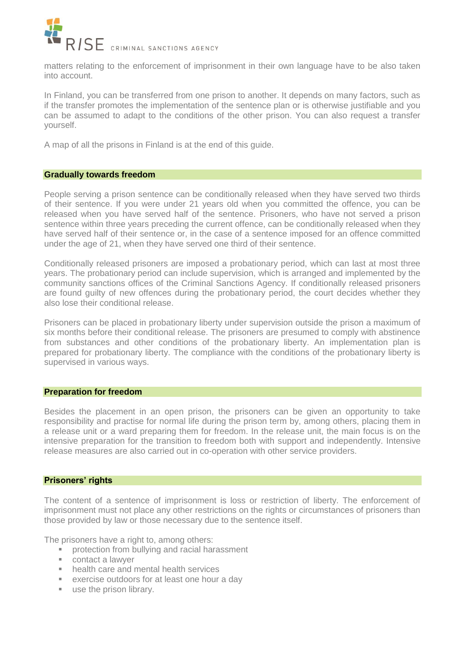

matters relating to the enforcement of imprisonment in their own language have to be also taken into account.

In Finland, you can be transferred from one prison to another. It depends on many factors, such as if the transfer promotes the implementation of the sentence plan or is otherwise justifiable and you can be assumed to adapt to the conditions of the other prison. You can also request a transfer yourself.

A map of all the prisons in Finland is at the end of this guide.

# **Gradually towards freedom**

People serving a prison sentence can be conditionally released when they have served two thirds of their sentence. If you were under 21 years old when you committed the offence, you can be released when you have served half of the sentence. Prisoners, who have not served a prison sentence within three years preceding the current offence, can be conditionally released when they have served half of their sentence or, in the case of a sentence imposed for an offence committed under the age of 21, when they have served one third of their sentence.

Conditionally released prisoners are imposed a probationary period, which can last at most three years. The probationary period can include supervision, which is arranged and implemented by the community sanctions offices of the Criminal Sanctions Agency. If conditionally released prisoners are found guilty of new offences during the probationary period, the court decides whether they also lose their conditional release.

Prisoners can be placed in probationary liberty under supervision outside the prison a maximum of six months before their conditional release. The prisoners are presumed to comply with abstinence from substances and other conditions of the probationary liberty. An implementation plan is prepared for probationary liberty. The compliance with the conditions of the probationary liberty is supervised in various ways.

### **Preparation for freedom**

Besides the placement in an open prison, the prisoners can be given an opportunity to take responsibility and practise for normal life during the prison term by, among others, placing them in a release unit or a ward preparing them for freedom. In the release unit, the main focus is on the intensive preparation for the transition to freedom both with support and independently. Intensive release measures are also carried out in co-operation with other service providers.

### **Prisoners' rights**

The content of a sentence of imprisonment is loss or restriction of liberty. The enforcement of imprisonment must not place any other restrictions on the rights or circumstances of prisoners than those provided by law or those necessary due to the sentence itself.

The prisoners have a right to, among others:

- protection from bullying and racial harassment
- contact a lawyer
- **health care and mental health services**
- exercise outdoors for at least one hour a day
- use the prison library.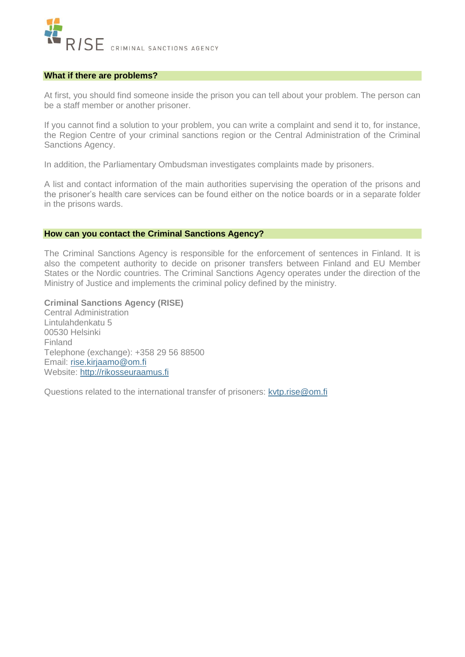

### **What if there are problems?**

At first, you should find someone inside the prison you can tell about your problem. The person can be a staff member or another prisoner.

If you cannot find a solution to your problem, you can write a complaint and send it to, for instance, the Region Centre of your criminal sanctions region or the Central Administration of the Criminal Sanctions Agency.

In addition, the Parliamentary Ombudsman investigates complaints made by prisoners.

A list and contact information of the main authorities supervising the operation of the prisons and the prisoner's health care services can be found either on the notice boards or in a separate folder in the prisons wards.

### **How can you contact the Criminal Sanctions Agency?**

The Criminal Sanctions Agency is responsible for the enforcement of sentences in Finland. It is also the competent authority to decide on prisoner transfers between Finland and EU Member States or the Nordic countries. The Criminal Sanctions Agency operates under the direction of the Ministry of Justice and implements the criminal policy defined by the ministry.

# **Criminal Sanctions Agency (RISE)**

Central Administration Lintulahdenkatu 5 00530 Helsinki Finland Telephone (exchange): +358 29 56 88500 Email: [rise.kirjaamo@om.fi](mailto:rise.kirjaamo@om.fi) Website: [http://rikosseuraamus.fi](http://rikosseuraamus.fi/)

Questions related to the international transfer of prisoners: [kvtp.rise@om.fi](mailto:kvtp.rise@om.fi)